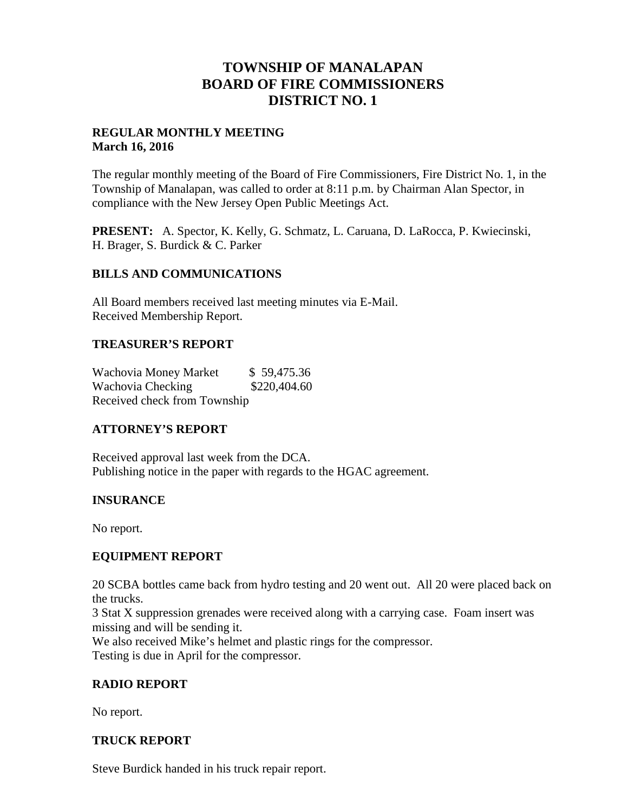# **TOWNSHIP OF MANALAPAN BOARD OF FIRE COMMISSIONERS DISTRICT NO. 1**

### **REGULAR MONTHLY MEETING March 16, 2016**

The regular monthly meeting of the Board of Fire Commissioners, Fire District No. 1, in the Township of Manalapan, was called to order at 8:11 p.m. by Chairman Alan Spector, in compliance with the New Jersey Open Public Meetings Act.

**PRESENT:** A. Spector, K. Kelly, G. Schmatz, L. Caruana, D. LaRocca, P. Kwiecinski, H. Brager, S. Burdick & C. Parker

#### **BILLS AND COMMUNICATIONS**

All Board members received last meeting minutes via E-Mail. Received Membership Report.

### **TREASURER'S REPORT**

Wachovia Money Market \$59,475.36 Wachovia Checking  $$220,404.60$ Received check from Township

## **ATTORNEY'S REPORT**

Received approval last week from the DCA. Publishing notice in the paper with regards to the HGAC agreement.

## **INSURANCE**

No report.

## **EQUIPMENT REPORT**

20 SCBA bottles came back from hydro testing and 20 went out. All 20 were placed back on the trucks.

3 Stat X suppression grenades were received along with a carrying case. Foam insert was missing and will be sending it.

We also received Mike's helmet and plastic rings for the compressor. Testing is due in April for the compressor.

## **RADIO REPORT**

No report.

#### **TRUCK REPORT**

Steve Burdick handed in his truck repair report.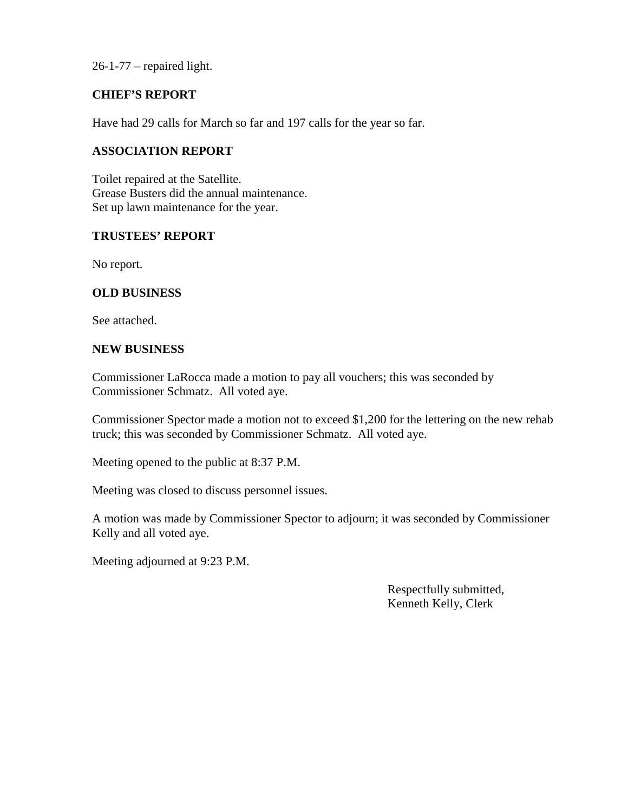26-1-77 – repaired light.

### **CHIEF'S REPORT**

Have had 29 calls for March so far and 197 calls for the year so far.

#### **ASSOCIATION REPORT**

Toilet repaired at the Satellite. Grease Busters did the annual maintenance. Set up lawn maintenance for the year.

#### **TRUSTEES' REPORT**

No report.

#### **OLD BUSINESS**

See attached.

#### **NEW BUSINESS**

Commissioner LaRocca made a motion to pay all vouchers; this was seconded by Commissioner Schmatz. All voted aye.

Commissioner Spector made a motion not to exceed \$1,200 for the lettering on the new rehab truck; this was seconded by Commissioner Schmatz. All voted aye.

Meeting opened to the public at 8:37 P.M.

Meeting was closed to discuss personnel issues.

A motion was made by Commissioner Spector to adjourn; it was seconded by Commissioner Kelly and all voted aye.

Meeting adjourned at 9:23 P.M.

Respectfully submitted, Kenneth Kelly, Clerk